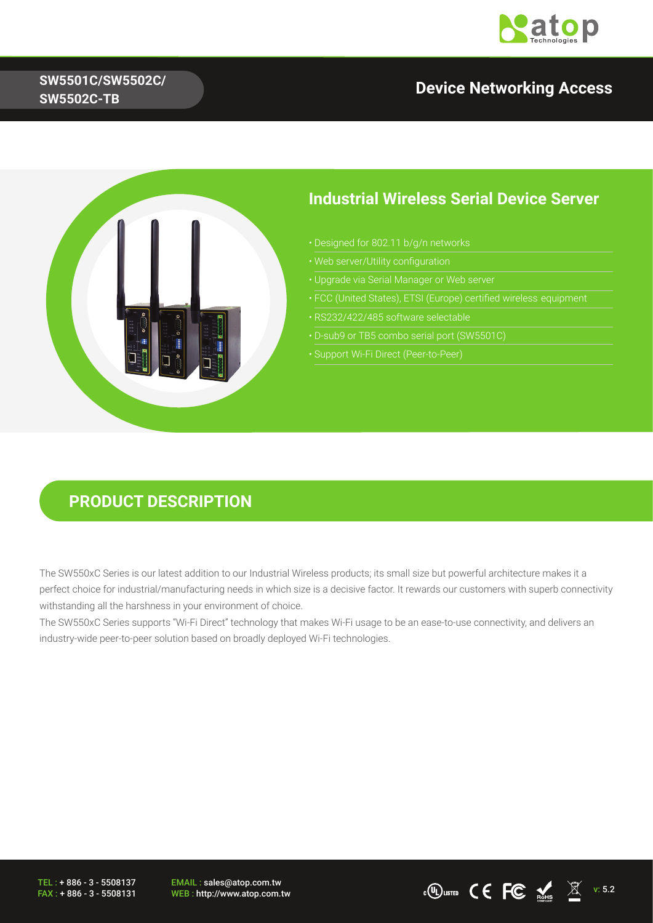

# **SW5501C/SW5502C/**

# **SW5502C-TB Device Networking Access**



#### **Industrial Wireless Serial Device Server**

- 
- 
- Upgrade via Serial Manager or Web server
- 
- 
- 
- Support Wi-Fi Direct (Peer-to-Peer)

#### **PRODUCT DESCRIPTION**

The SW550xC Series is our latest addition to our Industrial Wireless products; its small size but powerful architecture makes it a perfect choice for industrial/manufacturing needs in which size is a decisive factor. It rewards our customers with superb connectivity withstanding all the harshness in your environment of choice.

The SW550xC Series supports "Wi-Fi Direct" technology that makes Wi-Fi usage to be an ease-to-use connectivity, and delivers an industry-wide peer-to-peer solution based on broadly deployed Wi-Fi technologies.

TEL : + 886 - 3 - 5508137 FAX : + 886 - 3 - 5508131 EMAIL : sales@atop.com.tw<br>WEB : http://www.atop.com.tw

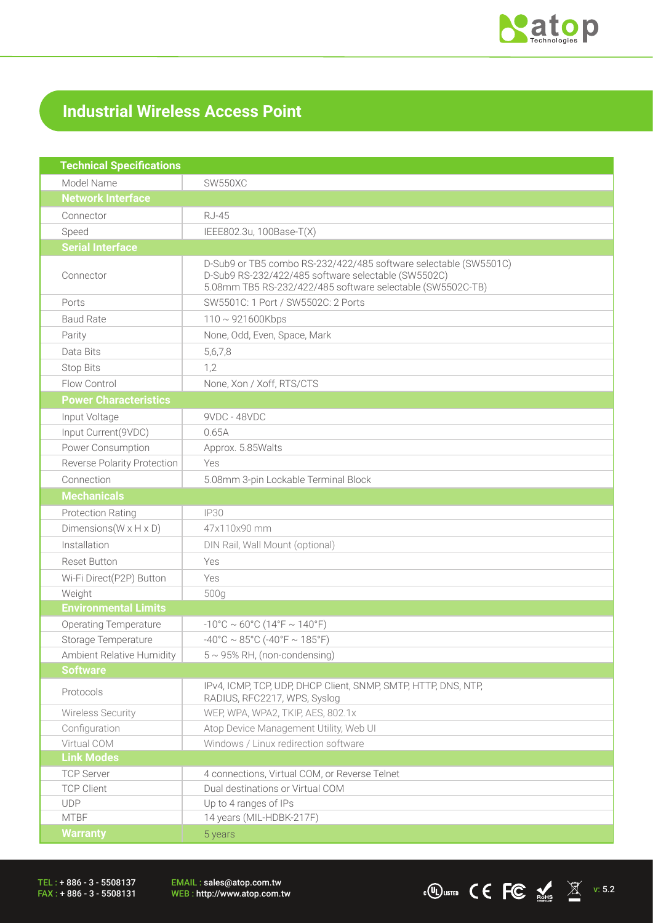

## **Industrial Wireless Access Point**

| <b>Technical Specifications</b>      |                                                                                                                                                                                       |  |  |  |  |
|--------------------------------------|---------------------------------------------------------------------------------------------------------------------------------------------------------------------------------------|--|--|--|--|
| Model Name                           | <b>SW550XC</b>                                                                                                                                                                        |  |  |  |  |
| <b>Network Interface</b>             |                                                                                                                                                                                       |  |  |  |  |
| Connector                            | <b>RJ-45</b>                                                                                                                                                                          |  |  |  |  |
| Speed                                | IEEE802.3u, 100Base-T(X)                                                                                                                                                              |  |  |  |  |
| <b>Serial Interface</b>              |                                                                                                                                                                                       |  |  |  |  |
| Connector                            | D-Sub9 or TB5 combo RS-232/422/485 software selectable (SW5501C)<br>D-Sub9 RS-232/422/485 software selectable (SW5502C)<br>5.08mm TB5 RS-232/422/485 software selectable (SW5502C-TB) |  |  |  |  |
| Ports                                | SW5501C: 1 Port / SW5502C: 2 Ports                                                                                                                                                    |  |  |  |  |
| <b>Baud Rate</b>                     | $110 \sim 921600$ Kbps                                                                                                                                                                |  |  |  |  |
| Parity                               | None, Odd, Even, Space, Mark                                                                                                                                                          |  |  |  |  |
| Data Bits                            | 5,6,7,8                                                                                                                                                                               |  |  |  |  |
| <b>Stop Bits</b>                     | 1,2                                                                                                                                                                                   |  |  |  |  |
| Flow Control                         | None, Xon / Xoff, RTS/CTS                                                                                                                                                             |  |  |  |  |
| <b>Power Characteristics</b>         |                                                                                                                                                                                       |  |  |  |  |
| Input Voltage                        | 9VDC - 48VDC                                                                                                                                                                          |  |  |  |  |
| Input Current(9VDC)                  | 0.65A                                                                                                                                                                                 |  |  |  |  |
| Power Consumption                    | Approx. 5.85Walts                                                                                                                                                                     |  |  |  |  |
| Reverse Polarity Protection          | Yes                                                                                                                                                                                   |  |  |  |  |
| Connection                           | 5.08mm 3-pin Lockable Terminal Block                                                                                                                                                  |  |  |  |  |
| <b>Mechanicals</b>                   |                                                                                                                                                                                       |  |  |  |  |
| <b>Protection Rating</b>             | IP30                                                                                                                                                                                  |  |  |  |  |
| Dimensions ( $W \times H \times D$ ) | 47x110x90 mm                                                                                                                                                                          |  |  |  |  |
| Installation                         | DIN Rail, Wall Mount (optional)                                                                                                                                                       |  |  |  |  |
| <b>Reset Button</b>                  | Yes                                                                                                                                                                                   |  |  |  |  |
| Wi-Fi Direct(P2P) Button             | Yes                                                                                                                                                                                   |  |  |  |  |
| Weight                               | 500g                                                                                                                                                                                  |  |  |  |  |
| <b>Environmental Limits</b>          |                                                                                                                                                                                       |  |  |  |  |
| <b>Operating Temperature</b>         | $-10^{\circ}$ C ~ 60°C (14°F ~ 140°F)                                                                                                                                                 |  |  |  |  |
| Storage Temperature                  | $-40^{\circ}$ C ~ 85°C (-40°F ~ 185°F)                                                                                                                                                |  |  |  |  |
| Ambient Relative Humidity            | $5 \sim 95\%$ RH, (non-condensing)                                                                                                                                                    |  |  |  |  |
| <b>Software</b>                      |                                                                                                                                                                                       |  |  |  |  |
| Protocols                            | IPv4, ICMP, TCP, UDP, DHCP Client, SNMP, SMTP, HTTP, DNS, NTP,<br>RADIUS, RFC2217, WPS, Syslog                                                                                        |  |  |  |  |
| Wireless Security                    | WEP, WPA, WPA2, TKIP, AES, 802.1x                                                                                                                                                     |  |  |  |  |
| Configuration                        | Atop Device Management Utility, Web UI                                                                                                                                                |  |  |  |  |
| Virtual COM                          | Windows / Linux redirection software                                                                                                                                                  |  |  |  |  |
| <b>Link Modes</b>                    |                                                                                                                                                                                       |  |  |  |  |
| <b>TCP Server</b>                    | 4 connections, Virtual COM, or Reverse Telnet                                                                                                                                         |  |  |  |  |
| <b>TCP Client</b>                    | Dual destinations or Virtual COM                                                                                                                                                      |  |  |  |  |
| <b>UDP</b>                           | Up to 4 ranges of IPs                                                                                                                                                                 |  |  |  |  |
| <b>MTBF</b>                          | 14 years (MIL-HDBK-217F)                                                                                                                                                              |  |  |  |  |
| <b>Warranty</b>                      | 5 years                                                                                                                                                                               |  |  |  |  |

TEL : + 886 - 3 - 5508137 FAX : + 886 - 3 - 5508131

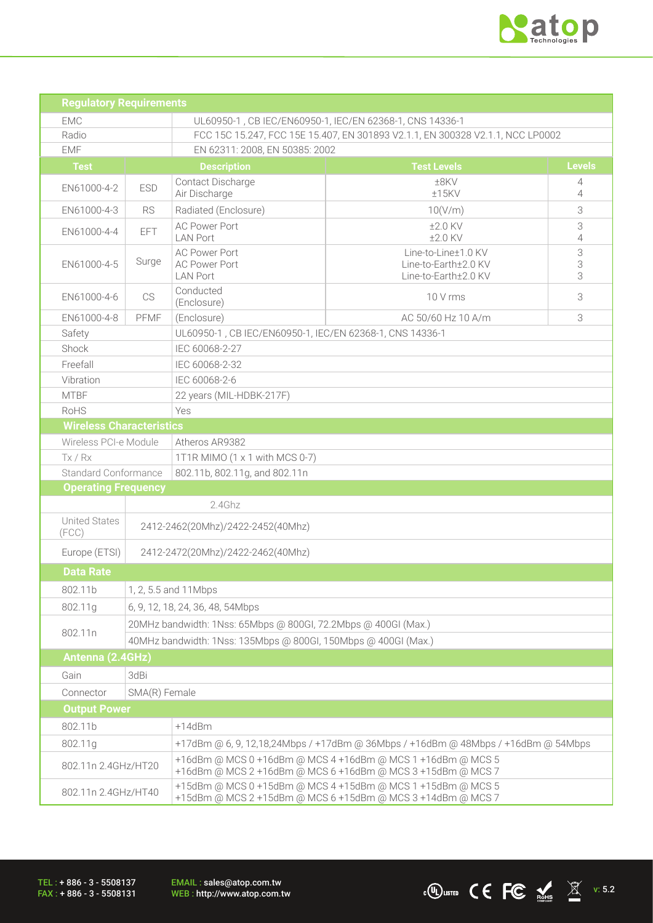

 $\overline{\text{C}}$   $\overline{\text{C}}$   $\overline{\text{C}}$   $\overline{\text{C}}$   $\overline{\text{C}}$   $\overline{\text{C}}$   $\overline{\text{C}}$   $\overline{\text{C}}$   $\overline{\text{C}}$   $\overline{\text{C}}$   $\overline{\text{C}}$   $\overline{\text{C}}$   $\overline{\text{C}}$   $\overline{\text{C}}$   $\overline{\text{C}}$   $\overline{\text{C}}$   $\overline{\text{C}}$   $\overline{\text{C}}$   $\overline{\text{C}}$   $\overline{\text{C}}$ 

| <b>Regulatory Requirements</b>       |                                                                |                                                                                                                                                                                           |                                                          |               |  |  |  |  |
|--------------------------------------|----------------------------------------------------------------|-------------------------------------------------------------------------------------------------------------------------------------------------------------------------------------------|----------------------------------------------------------|---------------|--|--|--|--|
| <b>FMC</b>                           |                                                                |                                                                                                                                                                                           | UL60950-1, CB IEC/EN60950-1, IEC/EN 62368-1, CNS 14336-1 |               |  |  |  |  |
| Radio                                |                                                                | FCC 15C 15.247, FCC 15E 15.407, EN 301893 V2.1.1, EN 300328 V2.1.1, NCC LP0002                                                                                                            |                                                          |               |  |  |  |  |
| <b>EMF</b>                           |                                                                | EN 62311: 2008, EN 50385: 2002                                                                                                                                                            |                                                          |               |  |  |  |  |
| <b>Test</b>                          |                                                                | <b>Description</b>                                                                                                                                                                        | <b>Test Levels</b>                                       | <b>Levels</b> |  |  |  |  |
| EN61000-4-2                          | <b>ESD</b>                                                     | Contact Discharge<br>Air Discharge                                                                                                                                                        | $±8$ KV<br>±15KV                                         | 4<br>4        |  |  |  |  |
| EN61000-4-3                          | <b>RS</b>                                                      | Radiated (Enclosure)                                                                                                                                                                      | 10(V/m)                                                  |               |  |  |  |  |
| EN61000-4-4                          | EFT                                                            | <b>AC Power Port</b><br><b>LAN Port</b>                                                                                                                                                   | $±2.0$ KV<br>$±2.0$ KV                                   |               |  |  |  |  |
| EN61000-4-5                          | Surge                                                          | <b>AC Power Port</b><br><b>AC Power Port</b><br><b>LAN Port</b>                                                                                                                           | 3<br>3<br>3                                              |               |  |  |  |  |
| EN61000-4-6                          | <b>CS</b>                                                      | Conducted<br>(Enclosure)                                                                                                                                                                  | 3<br>10 V rms                                            |               |  |  |  |  |
| EN61000-4-8                          | PFMF                                                           | (Enclosure)<br>3<br>AC 50/60 Hz 10 A/m                                                                                                                                                    |                                                          |               |  |  |  |  |
| Safety                               |                                                                |                                                                                                                                                                                           | UL60950-1, CB IEC/EN60950-1, IEC/EN 62368-1, CNS 14336-1 |               |  |  |  |  |
| Shock                                |                                                                | IEC 60068-2-27                                                                                                                                                                            |                                                          |               |  |  |  |  |
| Freefall                             |                                                                | IEC 60068-2-32                                                                                                                                                                            |                                                          |               |  |  |  |  |
| Vibration                            |                                                                | IEC 60068-2-6                                                                                                                                                                             |                                                          |               |  |  |  |  |
| <b>MTBF</b>                          |                                                                | 22 years (MIL-HDBK-217F)                                                                                                                                                                  |                                                          |               |  |  |  |  |
| <b>RoHS</b>                          |                                                                | Yes                                                                                                                                                                                       |                                                          |               |  |  |  |  |
| <b>Wireless Characteristics</b>      |                                                                |                                                                                                                                                                                           |                                                          |               |  |  |  |  |
| Wireless PCI-e Module                |                                                                | Atheros AR9382                                                                                                                                                                            |                                                          |               |  |  |  |  |
| Tx / Rx                              |                                                                | 1T1R MIMO (1 x 1 with MCS 0-7)                                                                                                                                                            |                                                          |               |  |  |  |  |
| <b>Standard Conformance</b>          |                                                                | 802.11b, 802.11g, and 802.11n                                                                                                                                                             |                                                          |               |  |  |  |  |
| <b>Operating Frequency</b>           |                                                                |                                                                                                                                                                                           |                                                          |               |  |  |  |  |
|                                      |                                                                | 2.4Ghz                                                                                                                                                                                    |                                                          |               |  |  |  |  |
| <b>United States</b><br>(FCC)        | 2412-2462(20Mhz)/2422-2452(40Mhz)                              |                                                                                                                                                                                           |                                                          |               |  |  |  |  |
| Europe (ETSI)                        |                                                                | 2412-2472(20Mhz)/2422-2462(40Mhz)                                                                                                                                                         |                                                          |               |  |  |  |  |
| <b>Data Rate</b>                     |                                                                |                                                                                                                                                                                           |                                                          |               |  |  |  |  |
| 802.11b                              |                                                                | 1, 2, 5.5 and 11 Mbps                                                                                                                                                                     |                                                          |               |  |  |  |  |
| 802.11g                              |                                                                | 6, 9, 12, 18, 24, 36, 48, 54Mbps                                                                                                                                                          |                                                          |               |  |  |  |  |
|                                      |                                                                | 20MHz bandwidth: 1Nss: 65Mbps @ 800Gl, 72.2Mbps @ 400Gl (Max.)                                                                                                                            |                                                          |               |  |  |  |  |
| 802.11n                              | 40MHz bandwidth: 1Nss: 135Mbps @ 800Gl, 150Mbps @ 400Gl (Max.) |                                                                                                                                                                                           |                                                          |               |  |  |  |  |
|                                      | Antenna (2.4GHz)                                               |                                                                                                                                                                                           |                                                          |               |  |  |  |  |
| Gain                                 | 3dBi                                                           |                                                                                                                                                                                           |                                                          |               |  |  |  |  |
| Connector                            |                                                                |                                                                                                                                                                                           |                                                          |               |  |  |  |  |
| SMA(R) Female<br><b>Output Power</b> |                                                                |                                                                                                                                                                                           |                                                          |               |  |  |  |  |
| $+14dBm$<br>802.11b                  |                                                                |                                                                                                                                                                                           |                                                          |               |  |  |  |  |
| 802.11g                              |                                                                | +17dBm @ 6, 9, 12,18,24Mbps / +17dBm @ 36Mbps / +16dBm @ 48Mbps / +16dBm @ 54Mbps                                                                                                         |                                                          |               |  |  |  |  |
| 802.11n 2.4GHz/HT20                  |                                                                | +16dBm @ MCS 0 +16dBm @ MCS 4 +16dBm @ MCS 1 +16dBm @ MCS 5                                                                                                                               |                                                          |               |  |  |  |  |
| 802.11n 2.4GHz/HT40                  |                                                                | +16dBm @ MCS 2 +16dBm @ MCS 6 +16dBm @ MCS 3 +15dBm @ MCS 7<br>+15dBm @ MCS 0 +15dBm @ MCS 4 +15dBm @ MCS 1 +15dBm @ MCS 5<br>+15dBm @ MCS 2 +15dBm @ MCS 6 +15dBm @ MCS 3 +14dBm @ MCS 7 |                                                          |               |  |  |  |  |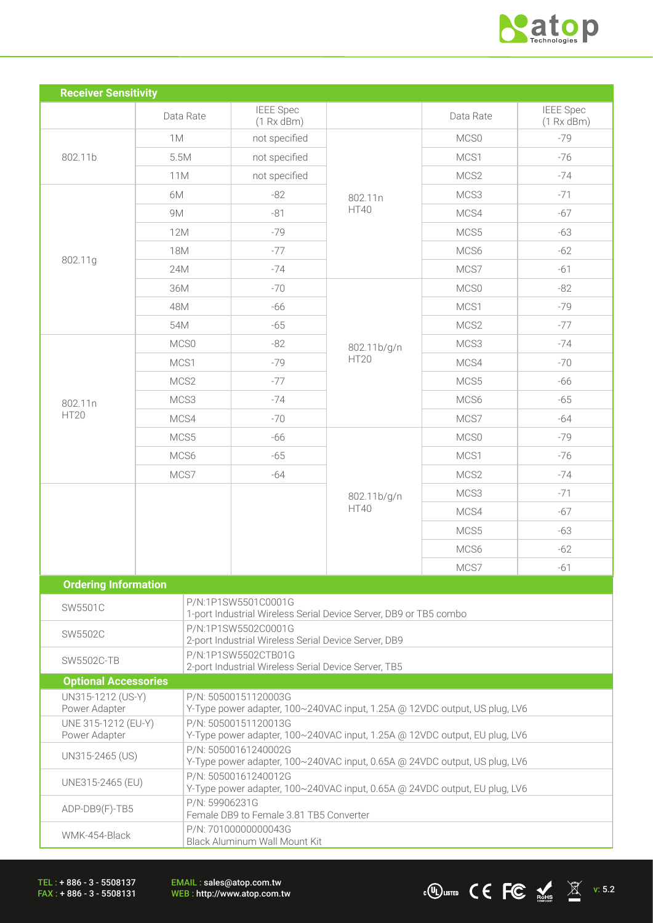

| <b>Receiver Sensitivity</b>          |                                                      |                                                                                                    |             |           |                                |  |  |  |  |
|--------------------------------------|------------------------------------------------------|----------------------------------------------------------------------------------------------------|-------------|-----------|--------------------------------|--|--|--|--|
|                                      | Data Rate                                            | <b>IEEE</b> Spec<br>(1 Rx dBm)                                                                     |             | Data Rate | <b>IEEE</b> Spec<br>(1 Rx dBm) |  |  |  |  |
|                                      | 1M                                                   | not specified                                                                                      |             | MCS0      | $-79$                          |  |  |  |  |
| 802.11b                              | 5.5M                                                 | not specified                                                                                      |             | MCS1      | $-76$                          |  |  |  |  |
|                                      | 11M                                                  | not specified                                                                                      |             | MCS2      | $-74$                          |  |  |  |  |
|                                      | 6M                                                   | $-82$                                                                                              | 802.11n     | MCS3      | $-71$                          |  |  |  |  |
|                                      | <b>9M</b>                                            | $-81$                                                                                              | <b>HT40</b> | MCS4      | $-67$                          |  |  |  |  |
|                                      | <b>12M</b>                                           | $-79$                                                                                              |             | MCS5      | $-63$                          |  |  |  |  |
|                                      | <b>18M</b>                                           | $-77$                                                                                              |             | MCS6      | $-62$                          |  |  |  |  |
| 802.11g                              | 24M                                                  | $-74$                                                                                              |             | MCS7      | $-61$                          |  |  |  |  |
|                                      | 36M                                                  | $-70$                                                                                              | 802.11b/g/n | MCS0      | $-82$                          |  |  |  |  |
|                                      | 48M                                                  | $-66$                                                                                              |             | MCS1      | $-79$                          |  |  |  |  |
|                                      | 54M                                                  | $-65$                                                                                              |             | MCS2      | $-77$                          |  |  |  |  |
|                                      | MCS0                                                 | $-82$                                                                                              |             | MCS3      | $-74$                          |  |  |  |  |
|                                      | MCS1                                                 | $-79$                                                                                              | <b>HT20</b> | MCS4      | $-70$                          |  |  |  |  |
|                                      | MCS2                                                 | $-77$                                                                                              |             | MCS5      | -66                            |  |  |  |  |
| 802.11n                              | MCS3                                                 | $-74$                                                                                              |             | MCS6      | $-65$                          |  |  |  |  |
| <b>HT20</b>                          | MCS4                                                 | $-70$                                                                                              |             | MCS7      | $-64$                          |  |  |  |  |
|                                      | MCS5                                                 | -66                                                                                                |             | MCS0      | $-79$                          |  |  |  |  |
|                                      | MCS6                                                 | $-65$                                                                                              |             | MCS1      | $-76$                          |  |  |  |  |
|                                      | MCS7                                                 | $-64$                                                                                              |             | MCS2      | $-74$                          |  |  |  |  |
|                                      |                                                      |                                                                                                    | 802.11b/g/n | MCS3      | $-71$                          |  |  |  |  |
|                                      |                                                      |                                                                                                    | <b>HT40</b> | MCS4      | $-67$                          |  |  |  |  |
|                                      |                                                      |                                                                                                    |             | MCS5      | $-63$                          |  |  |  |  |
|                                      |                                                      |                                                                                                    |             | MCS6      | $-62$                          |  |  |  |  |
|                                      |                                                      |                                                                                                    |             | MCS7      | $-61$                          |  |  |  |  |
| <b>Ordering Information</b>          |                                                      |                                                                                                    |             |           |                                |  |  |  |  |
| SW5501C                              |                                                      | P/N:1P1SW5501C0001G                                                                                |             |           |                                |  |  |  |  |
| SW5502C                              |                                                      | 1-port Industrial Wireless Serial Device Server, DB9 or TB5 combo<br>P/N:1P1SW5502C0001G           |             |           |                                |  |  |  |  |
|                                      |                                                      | 2-port Industrial Wireless Serial Device Server, DB9<br>P/N:1P1SW5502CTB01G                        |             |           |                                |  |  |  |  |
| <b>SW5502C-TB</b>                    | 2-port Industrial Wireless Serial Device Server, TB5 |                                                                                                    |             |           |                                |  |  |  |  |
| <b>Optional Accessories</b>          |                                                      |                                                                                                    |             |           |                                |  |  |  |  |
| UN315-1212 (US-Y)<br>Power Adapter   |                                                      | P/N: 50500151120003G<br>Y-Type power adapter, 100~240VAC input, 1.25A @ 12VDC output, US plug, LV6 |             |           |                                |  |  |  |  |
| UNE 315-1212 (EU-Y)<br>Power Adapter |                                                      | P/N: 50500151120013G<br>Y-Type power adapter, 100~240VAC input, 1.25A @ 12VDC output, EU plug, LV6 |             |           |                                |  |  |  |  |
| UN315-2465 (US)                      |                                                      | P/N: 50500161240002G<br>Y-Type power adapter, 100~240VAC input, 0.65A @ 24VDC output, US plug, LV6 |             |           |                                |  |  |  |  |
| UNE315-2465 (EU)                     |                                                      | P/N: 50500161240012G<br>Y-Type power adapter, 100~240VAC input, 0.65A @ 24VDC output, EU plug, LV6 |             |           |                                |  |  |  |  |
| ADP-DB9(F)-TB5                       |                                                      | P/N: 59906231G<br>Female DB9 to Female 3.81 TB5 Converter                                          |             |           |                                |  |  |  |  |
| WMK-454-Black                        |                                                      | P/N: 70100000000043G<br>Black Aluminum Wall Mount Kit                                              |             |           |                                |  |  |  |  |